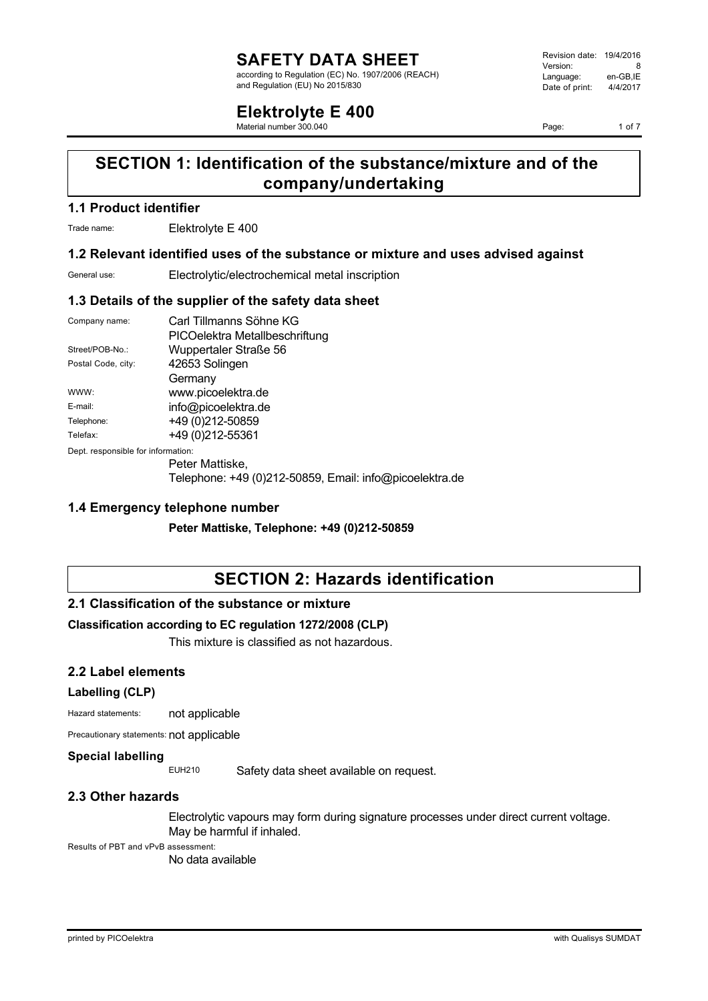according to Regulation (EC) No. 1907/2006 (REACH) and Regulation (EU) No 2015/830

## **Elektrolyte E 400**

Material number 300.040

Revision date: 19/4/2016 Version: 8<br>Language: en-GB.IE Language: en-GB, IE<br>Date of print: 4/4/2017  $Date$  of print:

Page: 1 of 7

## **SECTION 1: Identification of the substance/mixture and of the company/undertaking**

## **1.1 Product identifier**

Trade name: Elektrolyte E 400

### **1.2 Relevant identified uses of the substance or mixture and uses advised against**

General use: Electrolytic/electrochemical metal inscription

### **1.3 Details of the supplier of the safety data sheet**

| Company name:                      | Carl Tillmanns Söhne KG                         |
|------------------------------------|-------------------------------------------------|
|                                    | PICOelektra Metallbeschriftung                  |
| Street/POB-No.:                    | Wuppertaler Straße 56                           |
| Postal Code, city:                 | 42653 Solingen                                  |
|                                    | Germany                                         |
| WWW:                               | www.picoelektra.de                              |
| E-mail:                            | info@picoelektra.de                             |
| Telephone:                         | +49 (0) 212-50859                               |
| Telefax:                           | +49 (0) 212-55361                               |
| Dept. responsible for information: |                                                 |
|                                    | Peter Mattiske,                                 |
|                                    | T ! ! . 40. (0) 040 FOOTO F ! ! ! C Q ! ! !!! ! |

Telephone: +49 (0)212-50859, Email: info@picoelektra.de

## **1.4 Emergency telephone number**

**Peter Mattiske, Telephone: +49 (0)212-50859**

## **SECTION 2: Hazards identification**

## **2.1 Classification of the substance or mixture**

## **Classification according to EC regulation 1272/2008 (CLP)**

This mixture is classified as not hazardous.

## **2.2 Label elements**

#### **Labelling (CLP)**

Hazard statements: not applicable

Precautionary statements: not applicable

#### **Special labelling**

EUH210 Safety data sheet available on request.

## **2.3 Other hazards**

Electrolytic vapours may form during signature processes under direct current voltage. May be harmful if inhaled.

Results of PBT and vPvB assessment:

No data available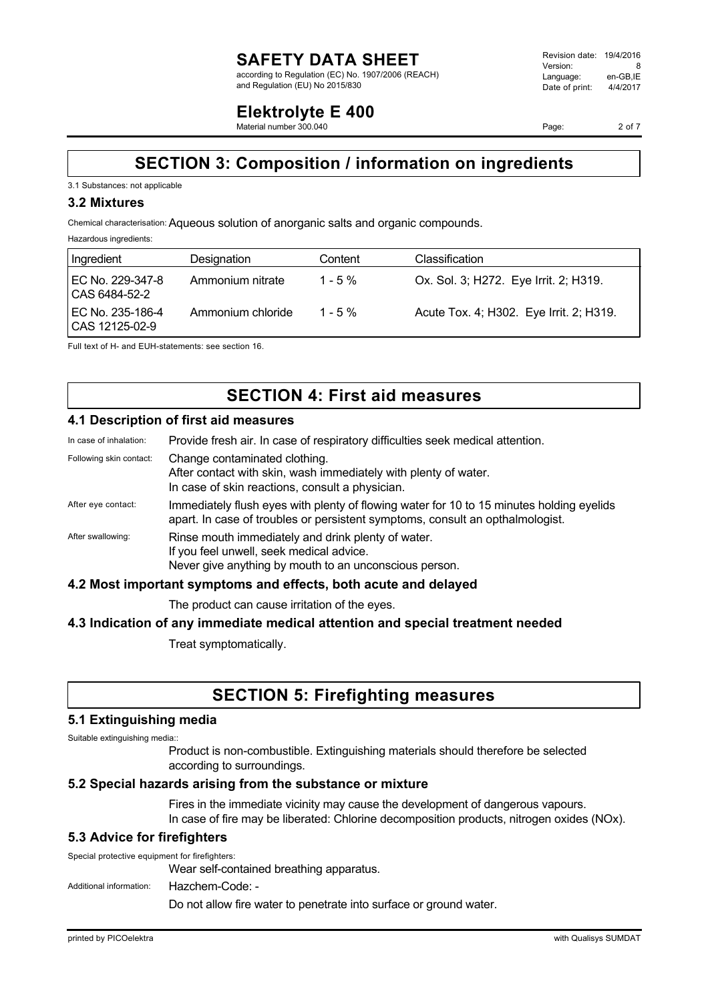according to Regulation (EC) No. 1907/2006 (REACH) and Regulation (EU) No 2015/830

#### Revision date: 19/4/2016 Version: 8<br>
Language: en-GB.IE Language: en-GB,IE<br>Date of print: 4/4/2017  $Date$  of print:

## **Elektrolyte E 400**

Material number 300.040

Page: 2 of 7

## **SECTION 3: Composition / information on ingredients**

### 3.1 Substances: not applicable

### **3.2 Mixtures**

Chemical characterisation:Aqueous solution of anorganic salts and organic compounds.

Hazardous ingredients:

| Ingredient                             | Designation       | Content   | Classification                          |
|----------------------------------------|-------------------|-----------|-----------------------------------------|
| I EC No. 229-347-8<br>l CAS 6484-52-2  | Ammonium nitrate  | $1 - 5\%$ | Ox. Sol. 3; H272. Eye Irrit. 2; H319.   |
| l EC No. 235-186-4<br>  CAS 12125-02-9 | Ammonium chloride | $1 - 5\%$ | Acute Tox. 4; H302. Eye Irrit. 2; H319. |

Full text of H- and EUH-statements: see section 16.

# **SECTION 4: First aid measures**

## **4.1 Description of first aid measures**

| In case of inhalation:  | Provide fresh air. In case of respiratory difficulties seek medical attention.                                                                                            |
|-------------------------|---------------------------------------------------------------------------------------------------------------------------------------------------------------------------|
| Following skin contact: | Change contaminated clothing.<br>After contact with skin, wash immediately with plenty of water.<br>In case of skin reactions, consult a physician.                       |
| After eye contact:      | Immediately flush eyes with plenty of flowing water for 10 to 15 minutes holding eyelids<br>apart. In case of troubles or persistent symptoms, consult an opthalmologist. |
| After swallowing:       | Rinse mouth immediately and drink plenty of water.<br>If you feel unwell, seek medical advice.<br>Never give anything by mouth to an unconscious person.                  |
|                         | 4.2 Most important symptoms and effects, both acute and delayed                                                                                                           |

The product can cause irritation of the eyes.

## **4.3 Indication of any immediate medical attention and special treatment needed**

Treat symptomatically.

## **SECTION 5: Firefighting measures**

## **5.1 Extinguishing media**

Suitable extinguishing media::

Product is non-combustible. Extinguishing materials should therefore be selected according to surroundings.

## **5.2 Special hazards arising from the substance or mixture**

Fires in the immediate vicinity may cause the development of dangerous vapours. In case of fire may be liberated: Chlorine decomposition products, nitrogen oxides (NOx).

## **5.3 Advice for firefighters**

Special protective equipment for firefighters: Wear self-contained breathing apparatus.

Additional information: Hazchem-Code: -

Do not allow fire water to penetrate into surface or ground water.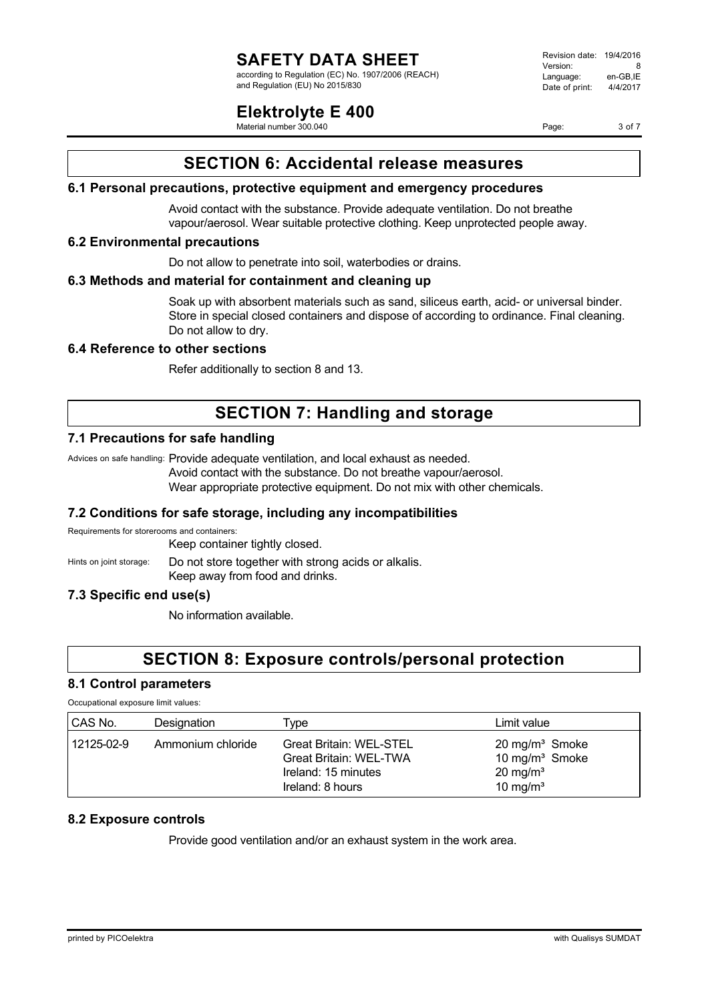according to Regulation (EC) No. 1907/2006 (REACH) and Regulation (EU) No 2015/830

## **Elektrolyte E 400**

Material number 300.040

Revision date: 19/4/2016 Version: 8 Language: en-GB,IE<br>Date of print: 4/4/2017  $Date$  of print:

Page: 3 of 7

## **SECTION 6: Accidental release measures**

## **6.1 Personal precautions, protective equipment and emergency procedures**

Avoid contact with the substance. Provide adequate ventilation. Do not breathe vapour/aerosol. Wear suitable protective clothing. Keep unprotected people away.

### **6.2 Environmental precautions**

Do not allow to penetrate into soil, waterbodies or drains.

## **6.3 Methods and material for containment and cleaning up**

Soak up with absorbent materials such as sand, siliceus earth, acid- or universal binder. Store in special closed containers and dispose of according to ordinance. Final cleaning. Do not allow to dry.

## **6.4 Reference to other sections**

Refer additionally to section 8 and 13.

## **SECTION 7: Handling and storage**

## **7.1 Precautions for safe handling**

Advices on safe handling: Provide adequate ventilation, and local exhaust as needed.

Avoid contact with the substance. Do not breathe vapour/aerosol.

Wear appropriate protective equipment. Do not mix with other chemicals.

## **7.2 Conditions for safe storage, including any incompatibilities**

Requirements for storerooms and containers:

Keep container tightly closed.

Hints on joint storage: Do not store together with strong acids or alkalis. Keep away from food and drinks.

## **7.3 Specific end use(s)**

No information available.

## **SECTION 8: Exposure controls/personal protection**

### **8.1 Control parameters** Occupational exposure limit values:

| CAS No.    | Designation       | Type                           | Limit value                |
|------------|-------------------|--------------------------------|----------------------------|
| 12125-02-9 | Ammonium chloride | <b>Great Britain: WEL-STEL</b> | 20 mg/m <sup>3</sup> Smoke |
|            |                   | <b>Great Britain: WEL-TWA</b>  | 10 mg/m <sup>3</sup> Smoke |
|            |                   | Ireland: 15 minutes            | $20 \text{ mg/m}^3$        |
|            |                   | Ireland: 8 hours               | 10 mg/ $m3$                |

## **8.2 Exposure controls**

Provide good ventilation and/or an exhaust system in the work area.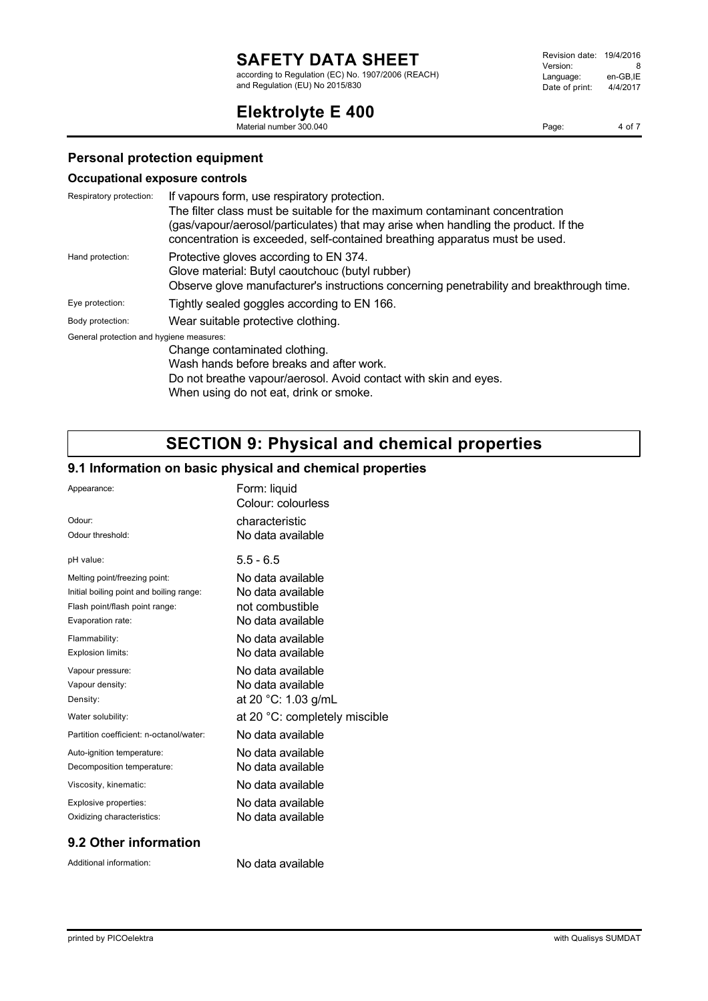according to Regulation (EC) No. 1907/2006 (REACH) and Regulation (EU) No 2015/830

#### Revision date: 19/4/2016 Version: 8<br>Language: en-GB,IE Language: Date of print: 4/4/2017

# **Elektrolyte E 400**

Material number 300.040

Page: 4 of 7

## **Personal protection equipment**

### **Occupational exposure controls**

| Respiratory protection:                  | If vapours form, use respiratory protection.                                              |
|------------------------------------------|-------------------------------------------------------------------------------------------|
|                                          | The filter class must be suitable for the maximum contaminant concentration               |
|                                          | (gas/vapour/aerosol/particulates) that may arise when handling the product. If the        |
|                                          | concentration is exceeded, self-contained breathing apparatus must be used.               |
| Hand protection:                         | Protective gloves according to EN 374.                                                    |
|                                          | Glove material: Butyl caoutchouc (butyl rubber)                                           |
|                                          | Observe glove manufacturer's instructions concerning penetrability and breakthrough time. |
| Eye protection:                          | Tightly sealed goggles according to EN 166.                                               |
| Body protection:                         | Wear suitable protective clothing.                                                        |
| General protection and hygiene measures: |                                                                                           |
|                                          | Change contaminated clothing.                                                             |
|                                          | Wash hands before breaks and after work.                                                  |
|                                          | Do not breathe vapour/aerosol. Avoid contact with skin and eyes.                          |

When using do not eat, drink or smoke.

# **SECTION 9: Physical and chemical properties**

## **9.1 Information on basic physical and chemical properties**

| Appearance:                              | Form: liquid<br>Colour: colourless |
|------------------------------------------|------------------------------------|
| Odour:                                   | characteristic                     |
| Odour threshold:                         | No data available                  |
| pH value:                                | $5.5 - 6.5$                        |
| Melting point/freezing point:            | No data available                  |
| Initial boiling point and boiling range: | No data available                  |
| Flash point/flash point range:           | not combustible                    |
| Evaporation rate:                        | No data available                  |
| Flammability:                            | No data available                  |
| Explosion limits:                        | No data available                  |
| Vapour pressure:                         | No data available                  |
| Vapour density:                          | No data available                  |
| Density:                                 | at 20 °C: 1.03 g/mL                |
| Water solubility:                        | at 20 °C: completely miscible      |
| Partition coefficient: n-octanol/water:  | No data available                  |
| Auto-ignition temperature:               | No data available                  |
| Decomposition temperature:               | No data available                  |
| Viscosity, kinematic:                    | No data available                  |
| Explosive properties:                    | No data available                  |
| Oxidizing characteristics:               | No data available                  |

## **9.2 Other information**

Additional information: No data available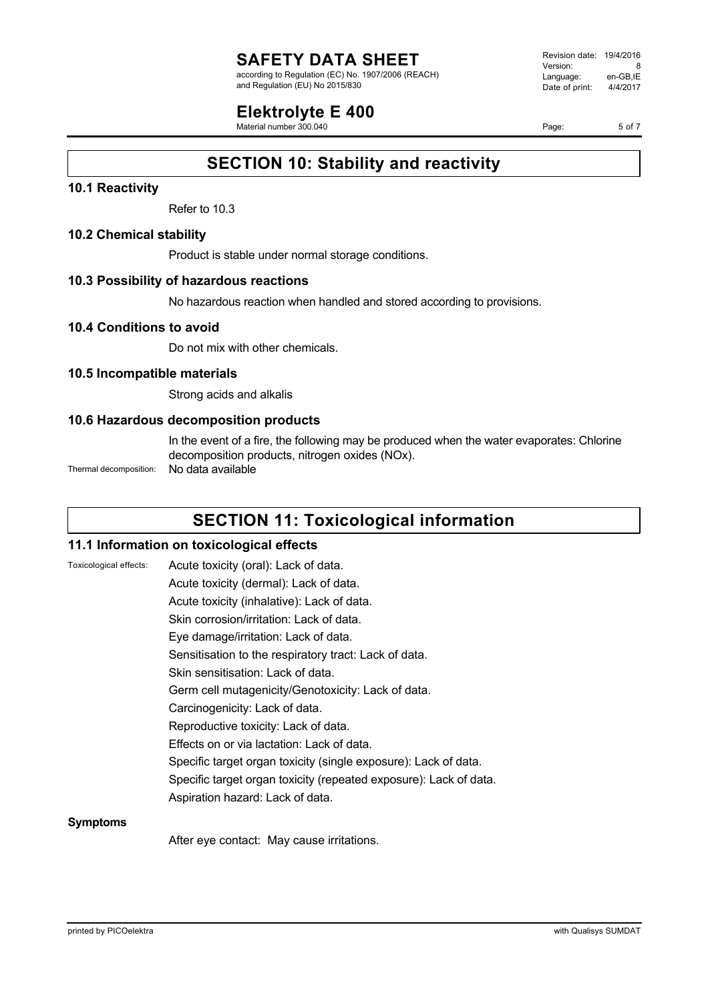according to Regulation (EC) No. 1907/2006 (REACH) and Regulation (EU) No 2015/830

## **Elektrolyte E 400**

Material number 300.040

Revision date: 19/4/2016 Version: 8<br>
Language: en-GB.IE Language: en-GB,IE<br>Date of print: 4/4/2017  $Date$  of print:

Page: 5 of 7

## **SECTION 10: Stability and reactivity**

## **10.1 Reactivity**

Refer to 10.3

### **10.2 Chemical stability**

Product is stable under normal storage conditions.

### **10.3 Possibility of hazardous reactions**

No hazardous reaction when handled and stored according to provisions.

### **10.4 Conditions to avoid**

Do not mix with other chemicals.

### **10.5 Incompatible materials**

Strong acids and alkalis

## **10.6 Hazardous decomposition products**

In the event of a fire, the following may be produced when the water evaporates: Chlorine decomposition products, nitrogen oxides (NOx).

Thermal decomposition: No data available

## **SECTION 11: Toxicological information**

#### **11.1 Information on toxicological effects**

| Toxicological effects: | Acute toxicity (oral): Lack of data.                              |
|------------------------|-------------------------------------------------------------------|
|                        | Acute toxicity (dermal): Lack of data.                            |
|                        | Acute toxicity (inhalative): Lack of data.                        |
|                        | Skin corrosion/irritation: Lack of data.                          |
|                        | Eye damage/irritation: Lack of data.                              |
|                        | Sensitisation to the respiratory tract: Lack of data.             |
|                        | Skin sensitisation: Lack of data.                                 |
|                        | Germ cell mutagenicity/Genotoxicity: Lack of data.                |
|                        | Carcinogenicity: Lack of data.                                    |
|                        | Reproductive toxicity: Lack of data.                              |
|                        | Effects on or via lactation: Lack of data.                        |
|                        | Specific target organ toxicity (single exposure): Lack of data.   |
|                        | Specific target organ toxicity (repeated exposure): Lack of data. |
|                        | Aspiration hazard: Lack of data.                                  |
| <b>Symptoms</b>        |                                                                   |

After eye contact: May cause irritations.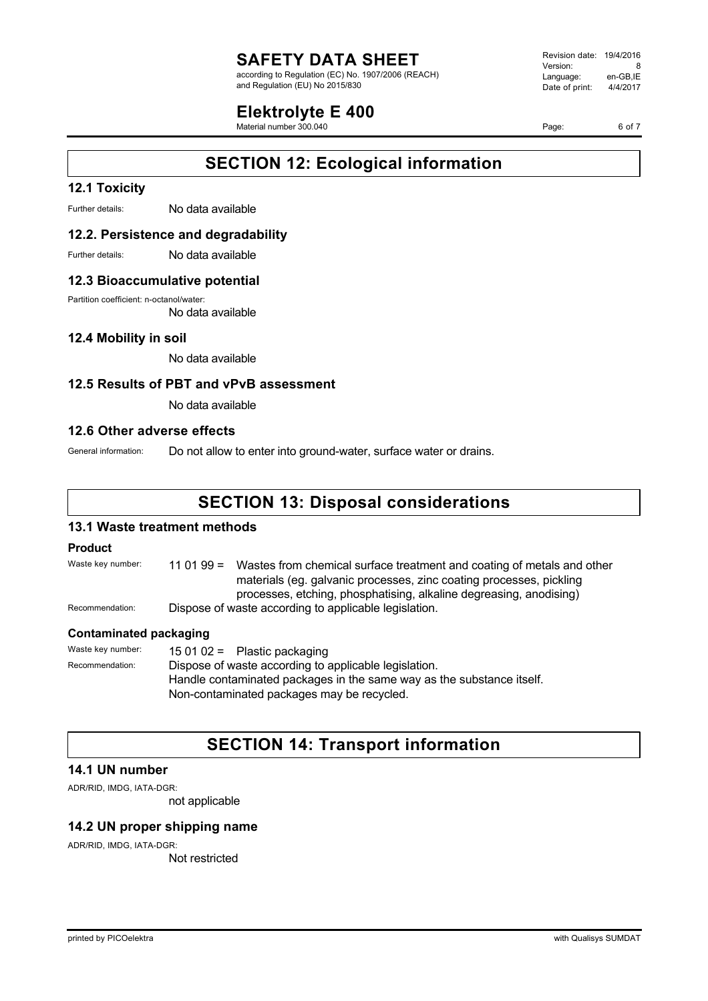according to Regulation (EC) No. 1907/2006 (REACH) and Regulation (EU) No 2015/830

## **Elektrolyte E 400**

Material number 300.040

Revision date: 19/4/2016 Version: 8<br>Language: en-GB.IE Language: en-GB,IE<br>Date of print: 4/4/2017  $Date$  of print:

Page: 6 of 7

## **SECTION 12: Ecological information**

## **12.1 Toxicity**

Further details: No data available

### **12.2. Persistence and degradability**

Further details: No data available

### **12.3 Bioaccumulative potential**

Partition coefficient: n-octanol/water:

No data available

## **12.4 Mobility in soil**

No data available

### **12.5 Results of PBT and vPvB assessment**

No data available

### **12.6 Other adverse effects**

General information: Do not allow to enter into ground-water, surface water or drains.

## **SECTION 13: Disposal considerations**

### **13.1 Waste treatment methods**

#### **Product**

Waste key number: 11 01 99 = Wastes from chemical surface treatment and coating of metals and other materials (eg. galvanic processes, zinc coating processes, pickling processes, etching, phosphatising, alkaline degreasing, anodising) Recommendation: Dispose of waste according to applicable legislation.

#### **Contaminated packaging**

Waste key number: 15 01 02 = Plastic packaging Recommendation: Dispose of waste according to applicable legislation. Handle contaminated packages in the same way as the substance itself. Non-contaminated packages may be recycled.

## **SECTION 14: Transport information**

## **14.1 UN number**

ADR/RID, IMDG, IATA-DGR:

not applicable

## **14.2 UN proper shipping name**

ADR/RID, IMDG, IATA-DGR:

Not restricted